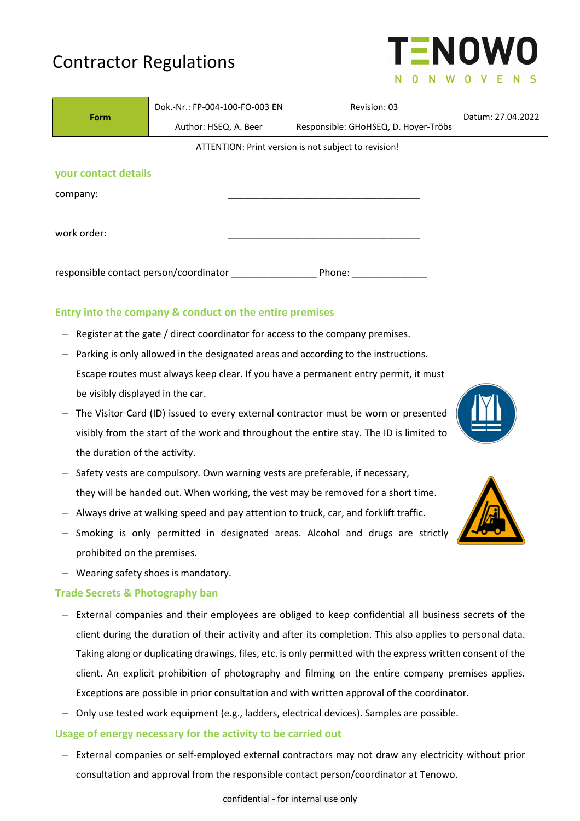# Contractor Regulations

| Form                                   | Dok.-Nr.: FP-004-100-FO-003 EN | Revision: 03                                         | Datum: 27.04.2022 |
|----------------------------------------|--------------------------------|------------------------------------------------------|-------------------|
|                                        | Author: HSEQ, A. Beer          | Responsible: GHoHSEQ, D. Hoyer-Tröbs                 |                   |
|                                        |                                | ATTENTION: Print version is not subject to revision! |                   |
| your contact details                   |                                |                                                      |                   |
| company:                               |                                |                                                      |                   |
| work order:                            |                                |                                                      |                   |
| responsible contact person/coordinator |                                | Phone:                                               |                   |

# **Entry into the company & conduct on the entire premises**

- $-$  Register at the gate / direct coordinator for access to the company premises.
- Parking is only allowed in the designated areas and according to the instructions. Escape routes must always keep clear. If you have a permanent entry permit, it must be visibly displayed in the car.
- The Visitor Card (ID) issued to every external contractor must be worn or presented visibly from the start of the work and throughout the entire stay. The ID is limited to the duration of the activity.
- Safety vests are compulsory. Own warning vests are preferable, if necessary, they will be handed out. When working, the vest may be removed for a short time.
- Always drive at walking speed and pay attention to truck, car, and forklift traffic.
- Smoking is only permitted in designated areas. Alcohol and drugs are strictly prohibited on the premises.
- Wearing safety shoes is mandatory.

# **Trade Secrets & Photography ban**

- External companies and their employees are obliged to keep confidential all business secrets of the client during the duration of their activity and after its completion. This also applies to personal data. Taking along or duplicating drawings, files, etc. is only permitted with the express written consent of the client. An explicit prohibition of photography and filming on the entire company premises applies. Exceptions are possible in prior consultation and with written approval of the coordinator.
- Only use tested work equipment (e.g., ladders, electrical devices). Samples are possible.

# **Usage of energy necessary for the activity to be carried out**

- External companies or self-employed external contractors may not draw any electricity without prior consultation and approval from the responsible contact person/coordinator at Tenowo.





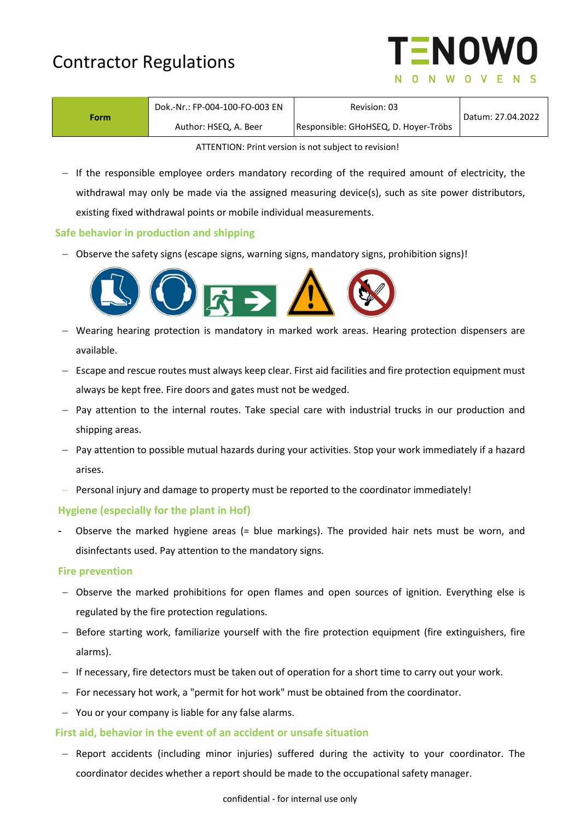| <b>Contractor Regulations</b> |  |
|-------------------------------|--|
|-------------------------------|--|



| Form. | Dok.-Nr.: FP-004-100-FO-003 EN | Revision: 03                         | Datum: 27.04.2022 |
|-------|--------------------------------|--------------------------------------|-------------------|
|       | Author: HSEQ, A. Beer          | Responsible: GHoHSEQ, D. Hoyer-Tröbs |                   |
|       |                                |                                      |                   |

ATTENTION: Print version is not subject to revision!

- If the responsible employee orders mandatory recording of the required amount of electricity, the withdrawal may only be made via the assigned measuring device(s), such as site power distributors, existing fixed withdrawal points or mobile individual measurements.

#### **Safe behavior in production and shipping**

 $-$  Observe the safety signs (escape signs, warning signs, mandatory signs, prohibition signs)!



- Wearing hearing protection is mandatory in marked work areas. Hearing protection dispensers are available.
- $-$  Escape and rescue routes must always keep clear. First aid facilities and fire protection equipment must always be kept free. Fire doors and gates must not be wedged.
- Pay attention to the internal routes. Take special care with industrial trucks in our production and shipping areas.
- $-$  Pay attention to possible mutual hazards during your activities. Stop your work immediately if a hazard arises.
- Personal injury and damage to property must be reported to the coordinator immediately!

### **Hygiene (especially for the plant in Hof)**

Observe the marked hygiene areas (= blue markings). The provided hair nets must be worn, and disinfectants used. Pay attention to the mandatory signs.

#### **Fire prevention**

- Observe the marked prohibitions for open flames and open sources of ignition. Everything else is regulated by the fire protection regulations.
- Before starting work, familiarize yourself with the fire protection equipment (fire extinguishers, fire alarms).
- If necessary, fire detectors must be taken out of operation for a short time to carry out your work.
- For necessary hot work, a "permit for hot work" must be obtained from the coordinator.
- You or your company is liable for any false alarms.

#### **First aid, behavior in the event of an accident or unsafe situation**

- Report accidents (including minor injuries) suffered during the activity to your coordinator. The coordinator decides whether a report should be made to the occupational safety manager.